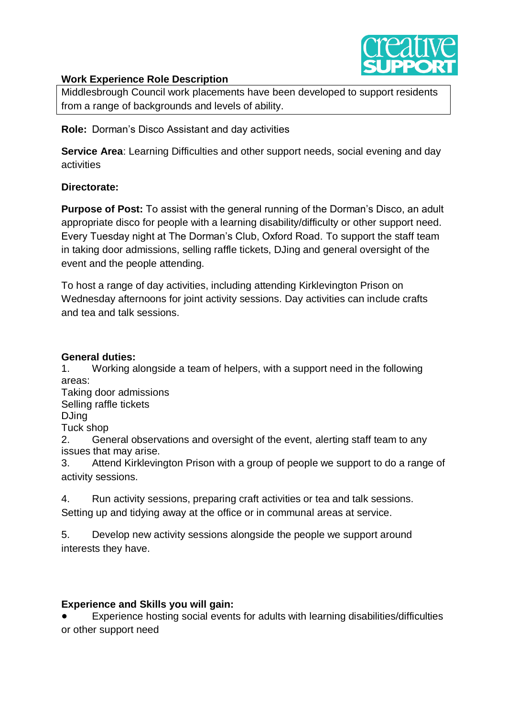

# **Work Experience Role Description**

Middlesbrough Council work placements have been developed to support residents from a range of backgrounds and levels of ability.

**Role:** Dorman's Disco Assistant and day activities

**Service Area:** Learning Difficulties and other support needs, social evening and day activities

## **Directorate:**

**Purpose of Post:** To assist with the general running of the Dorman's Disco, an adult appropriate disco for people with a learning disability/difficulty or other support need. Every Tuesday night at The Dorman's Club, Oxford Road. To support the staff team in taking door admissions, selling raffle tickets, DJing and general oversight of the event and the people attending.

To host a range of day activities, including attending Kirklevington Prison on Wednesday afternoons for joint activity sessions. Day activities can include crafts and tea and talk sessions.

## **General duties:**

1. Working alongside a team of helpers, with a support need in the following areas:

Taking door admissions

Selling raffle tickets

DJing

Tuck shop

2. General observations and oversight of the event, alerting staff team to any issues that may arise.

3. Attend Kirklevington Prison with a group of people we support to do a range of activity sessions.

4. Run activity sessions, preparing craft activities or tea and talk sessions. Setting up and tidying away at the office or in communal areas at service.

5. Develop new activity sessions alongside the people we support around interests they have.

# **Experience and Skills you will gain:**

Experience hosting social events for adults with learning disabilities/difficulties or other support need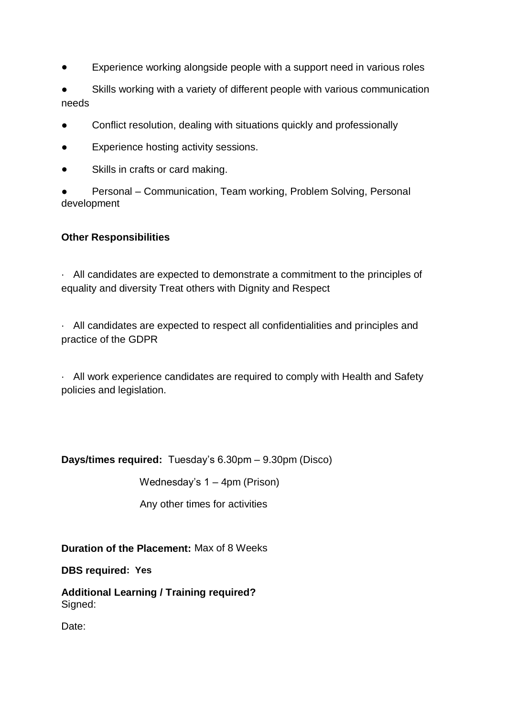- Experience working alongside people with a support need in various roles
- Skills working with a variety of different people with various communication needs
- Conflict resolution, dealing with situations quickly and professionally
- Experience hosting activity sessions.
- Skills in crafts or card making.
- Personal Communication, Team working, Problem Solving, Personal development

# **Other Responsibilities**

· All candidates are expected to demonstrate a commitment to the principles of equality and diversity Treat others with Dignity and Respect

· All candidates are expected to respect all confidentialities and principles and practice of the GDPR

· All work experience candidates are required to comply with Health and Safety policies and legislation.

**Days/times required:** Tuesday's 6.30pm – 9.30pm (Disco)

Wednesday's 1 – 4pm (Prison)

Any other times for activities

**Duration of the Placement:** Max of 8 Weeks

**DBS required: Yes**

**Additional Learning / Training required?** Signed:

Date: